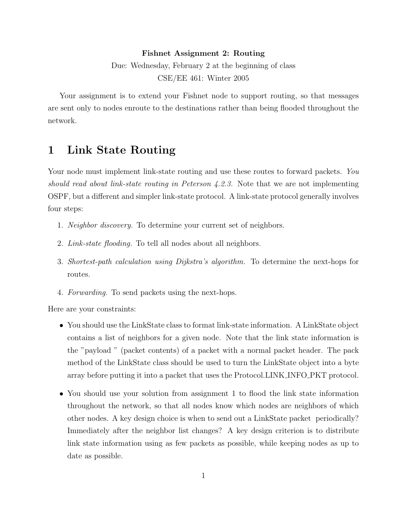#### Fishnet Assignment 2: Routing

Due: Wednesday, February 2 at the beginning of class CSE/EE 461: Winter 2005

Your assignment is to extend your Fishnet node to support routing, so that messages are sent only to nodes enroute to the destinations rather than being flooded throughout the network.

## 1 Link State Routing

Your node must implement link-state routing and use these routes to forward packets. You should read about link-state routing in Peterson 4.2.3. Note that we are not implementing OSPF, but a different and simpler link-state protocol. A link-state protocol generally involves four steps:

- 1. Neighbor discovery. To determine your current set of neighbors.
- 2. Link-state flooding. To tell all nodes about all neighbors.
- 3. Shortest-path calculation using Dijkstra's algorithm. To determine the next-hops for routes.
- 4. Forwarding. To send packets using the next-hops.

Here are your constraints:

- You should use the LinkState class to format link-state information. A LinkState object contains a list of neighbors for a given node. Note that the link state information is the "payload " (packet contents) of a packet with a normal packet header. The pack method of the LinkState class should be used to turn the LinkState object into a byte array before putting it into a packet that uses the Protocol.LINK INFO PKT protocol.
- You should use your solution from assignment 1 to flood the link state information throughout the network, so that all nodes know which nodes are neighbors of which other nodes. A key design choice is when to send out a LinkState packet periodically? Immediately after the neighbor list changes? A key design criterion is to distribute link state information using as few packets as possible, while keeping nodes as up to date as possible.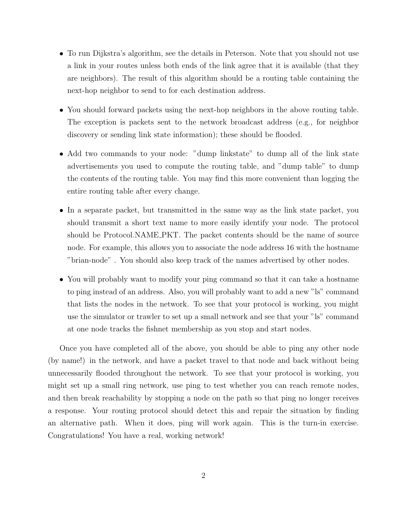- To run Dijkstra's algorithm, see the details in Peterson. Note that you should not use a link in your routes unless both ends of the link agree that it is available (that they are neighbors). The result of this algorithm should be a routing table containing the next-hop neighbor to send to for each destination address.
- You should forward packets using the next-hop neighbors in the above routing table. The exception is packets sent to the network broadcast address (e.g., for neighbor discovery or sending link state information); these should be flooded.
- Add two commands to your node: "dump linkstate" to dump all of the link state advertisements you used to compute the routing table, and "dump table" to dump the contents of the routing table. You may find this more convenient than logging the entire routing table after every change.
- In a separate packet, but transmitted in the same way as the link state packet, you should transmit a short text name to more easily identify your node. The protocol should be Protocol.NAME PKT. The packet contents should be the name of source node. For example, this allows you to associate the node address 16 with the hostname "brian-node" . You should also keep track of the names advertised by other nodes.
- You will probably want to modify your ping command so that it can take a hostname to ping instead of an address. Also, you will probably want to add a new "ls" command that lists the nodes in the network. To see that your protocol is working, you might use the simulator or trawler to set up a small network and see that your "ls" command at one node tracks the fishnet membership as you stop and start nodes.

Once you have completed all of the above, you should be able to ping any other node (by name!) in the network, and have a packet travel to that node and back without being unnecessarily flooded throughout the network. To see that your protocol is working, you might set up a small ring network, use ping to test whether you can reach remote nodes, and then break reachability by stopping a node on the path so that ping no longer receives a response. Your routing protocol should detect this and repair the situation by finding an alternative path. When it does, ping will work again. This is the turn-in exercise. Congratulations! You have a real, working network!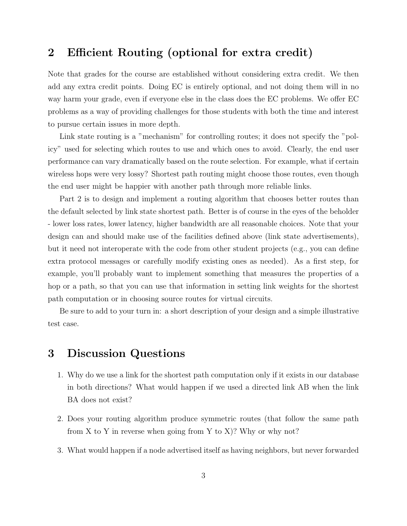## 2 Efficient Routing (optional for extra credit)

Note that grades for the course are established without considering extra credit. We then add any extra credit points. Doing EC is entirely optional, and not doing them will in no way harm your grade, even if everyone else in the class does the EC problems. We offer EC problems as a way of providing challenges for those students with both the time and interest to pursue certain issues in more depth.

Link state routing is a "mechanism" for controlling routes; it does not specify the "policy" used for selecting which routes to use and which ones to avoid. Clearly, the end user performance can vary dramatically based on the route selection. For example, what if certain wireless hops were very lossy? Shortest path routing might choose those routes, even though the end user might be happier with another path through more reliable links.

Part 2 is to design and implement a routing algorithm that chooses better routes than the default selected by link state shortest path. Better is of course in the eyes of the beholder - lower loss rates, lower latency, higher bandwidth are all reasonable choices. Note that your design can and should make use of the facilities defined above (link state advertisements), but it need not interoperate with the code from other student projects (e.g., you can define extra protocol messages or carefully modify existing ones as needed). As a first step, for example, you'll probably want to implement something that measures the properties of a hop or a path, so that you can use that information in setting link weights for the shortest path computation or in choosing source routes for virtual circuits.

Be sure to add to your turn in: a short description of your design and a simple illustrative test case.

## 3 Discussion Questions

- 1. Why do we use a link for the shortest path computation only if it exists in our database in both directions? What would happen if we used a directed link AB when the link BA does not exist?
- 2. Does your routing algorithm produce symmetric routes (that follow the same path from X to Y in reverse when going from Y to X $\mathcal{X}$ ? Why or why not?
- 3. What would happen if a node advertised itself as having neighbors, but never forwarded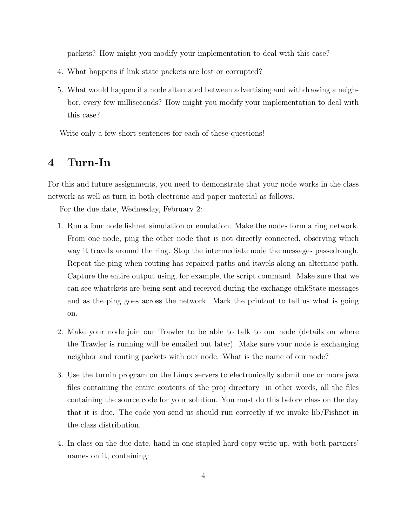packets? How might you modify your implementation to deal with this case?

- 4. What happens if link state packets are lost or corrupted?
- 5. What would happen if a node alternated between advertising and withdrawing a neighbor, every few milliseconds? How might you modify your implementation to deal with this case?

Write only a few short sentences for each of these questions!

# 4 Turn-In

For this and future assignments, you need to demonstrate that your node works in the class network as well as turn in both electronic and paper material as follows.

For the due date, Wednesday, February 2:

- 1. Run a four node fishnet simulation or emulation. Make the nodes form a ring network. From one node, ping the other node that is not directly connected, observing which way it travels around the ring. Stop the intermediate node the messages passedrough. Repeat the ping when routing has repaired paths and itavels along an alternate path. Capture the entire output using, for example, the script command. Make sure that we can see whatckets are being sent and received during the exchange ofnkState messages and as the ping goes across the network. Mark the printout to tell us what is going on.
- 2. Make your node join our Trawler to be able to talk to our node (details on where the Trawler is running will be emailed out later). Make sure your node is exchanging neighbor and routing packets with our node. What is the name of our node?
- 3. Use the turnin program on the Linux servers to electronically submit one or more java files containing the entire contents of the proj directory in other words, all the files containing the source code for your solution. You must do this before class on the day that it is due. The code you send us should run correctly if we invoke lib/Fishnet in the class distribution.
- 4. In class on the due date, hand in one stapled hard copy write up, with both partners' names on it, containing: